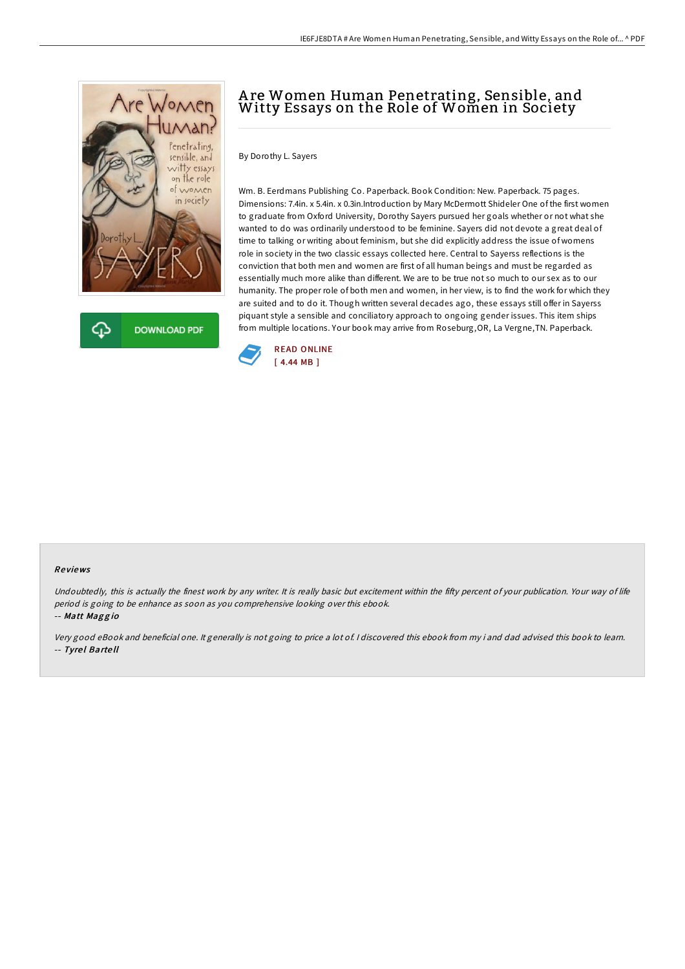

**DOWNLOAD PDF** 

# A re Women Human Penetrating, Sensible, and Witty Essays on the Role of Women in Society

By Dorothy L. Sayers

Wm. B. Eerdmans Publishing Co. Paperback. Book Condition: New. Paperback. 75 pages. Dimensions: 7.4in. x 5.4in. x 0.3in.Introduction by Mary McDermott Shideler One of the first women to graduate from Oxford University, Dorothy Sayers pursued her goals whether or not what she wanted to do was ordinarily understood to be feminine. Sayers did not devote a great deal of time to talking or writing about feminism, but she did explicitly address the issue of womens role in society in the two classic essays collected here. Central to Sayerss reflections is the conviction that both men and women are first of all human beings and must be regarded as essentially much more alike than different. We are to be true not so much to our sex as to our humanity. The proper role of both men and women, in her view, is to find the work for which they are suited and to do it. Though written several decades ago, these essays still offer in Sayerss piquant style a sensible and conciliatory approach to ongoing gender issues. This item ships from multiple locations. Your book may arrive from Roseburg,OR, La Vergne,TN. Paperback.



#### Re views

Undoubtedly, this is actually the finest work by any writer. It is really basic but excitement within the fifty percent of your publication. Your way of life period is going to be enhance as soon as you comprehensive looking over this ebook.

-- Matt Maggio

Very good eBook and beneficial one. It generally is not going to price <sup>a</sup> lot of. <sup>I</sup> discovered this ebook from my i and dad advised this book to learn. -- Tyrel Bartell